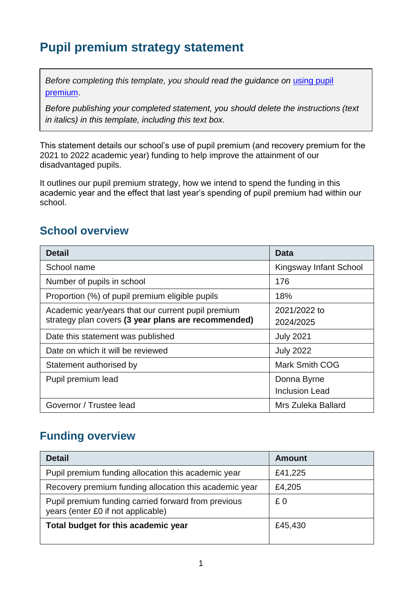# **Pupil premium strategy statement**

*Before completing this template, you should read the quidance on using pupil* [premium.](https://www.gov.uk/guidance/pupil-premium-effective-use-and-accountability#online-statements)

*Before publishing your completed statement, you should delete the instructions (text in italics) in this template, including this text box.*

This statement details our school's use of pupil premium (and recovery premium for the 2021 to 2022 academic year) funding to help improve the attainment of our disadvantaged pupils.

It outlines our pupil premium strategy, how we intend to spend the funding in this academic year and the effect that last year's spending of pupil premium had within our school.

### **School overview**

| <b>Detail</b>                                       | Data                   |
|-----------------------------------------------------|------------------------|
| School name                                         | Kingsway Infant School |
| Number of pupils in school                          | 176                    |
| Proportion (%) of pupil premium eligible pupils     | 18%                    |
| Academic year/years that our current pupil premium  | 2021/2022 to           |
| strategy plan covers (3 year plans are recommended) | 2024/2025              |
| Date this statement was published                   | <b>July 2021</b>       |
| Date on which it will be reviewed                   | <b>July 2022</b>       |
| Statement authorised by                             | <b>Mark Smith COG</b>  |
| Pupil premium lead                                  | Donna Byrne            |
|                                                     | <b>Inclusion Lead</b>  |
| Governor / Trustee lead                             | Mrs Zuleka Ballard     |

### **Funding overview**

| <b>Detail</b>                                                                             | <b>Amount</b> |
|-------------------------------------------------------------------------------------------|---------------|
| Pupil premium funding allocation this academic year                                       | £41,225       |
| Recovery premium funding allocation this academic year                                    | £4,205        |
| Pupil premium funding carried forward from previous<br>years (enter £0 if not applicable) | £ 0           |
| Total budget for this academic year                                                       | £45,430       |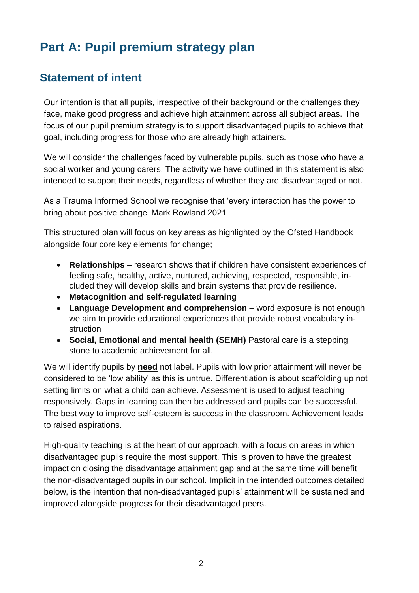# **Part A: Pupil premium strategy plan**

### **Statement of intent**

Our intention is that all pupils, irrespective of their background or the challenges they face, make good progress and achieve high attainment across all subject areas. The focus of our pupil premium strategy is to support disadvantaged pupils to achieve that goal, including progress for those who are already high attainers.

We will consider the challenges faced by vulnerable pupils, such as those who have a social worker and young carers. The activity we have outlined in this statement is also intended to support their needs, regardless of whether they are disadvantaged or not.

As a Trauma Informed School we recognise that 'every interaction has the power to bring about positive change' Mark Rowland 2021

This structured plan will focus on key areas as highlighted by the Ofsted Handbook alongside four core key elements for change;

- **Relationships** research shows that if children have consistent experiences of feeling safe, healthy, active, nurtured, achieving, respected, responsible, included they will develop skills and brain systems that provide resilience.
- **Metacognition and self-regulated learning**
- **Language Development and comprehension** word exposure is not enough we aim to provide educational experiences that provide robust vocabulary instruction
- **Social, Emotional and mental health (SEMH)** Pastoral care is a stepping stone to academic achievement for all.

We will identify pupils by **need** not label. Pupils with low prior attainment will never be considered to be 'low ability' as this is untrue. Differentiation is about scaffolding up not setting limits on what a child can achieve. Assessment is used to adjust teaching responsively. Gaps in learning can then be addressed and pupils can be successful. The best way to improve self-esteem is success in the classroom. Achievement leads to raised aspirations.

High-quality teaching is at the heart of our approach, with a focus on areas in which disadvantaged pupils require the most support. This is proven to have the greatest impact on closing the disadvantage attainment gap and at the same time will benefit the non-disadvantaged pupils in our school. Implicit in the intended outcomes detailed below, is the intention that non-disadvantaged pupils' attainment will be sustained and improved alongside progress for their disadvantaged peers.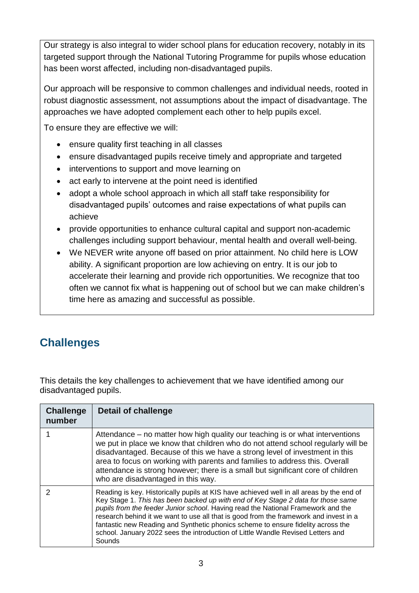Our strategy is also integral to wider school plans for education recovery, notably in its targeted support through the National Tutoring Programme for pupils whose education has been worst affected, including non-disadvantaged pupils.

Our approach will be responsive to common challenges and individual needs, rooted in robust diagnostic assessment, not assumptions about the impact of disadvantage. The approaches we have adopted complement each other to help pupils excel.

To ensure they are effective we will:

- ensure quality first teaching in all classes
- ensure disadvantaged pupils receive timely and appropriate and targeted
- interventions to support and move learning on
- act early to intervene at the point need is identified
- adopt a whole school approach in which all staff take responsibility for disadvantaged pupils' outcomes and raise expectations of what pupils can achieve
- provide opportunities to enhance cultural capital and support non-academic challenges including support behaviour, mental health and overall well-being.
- We NEVER write anyone off based on prior attainment. No child here is LOW ability. A significant proportion are low achieving on entry. It is our job to accelerate their learning and provide rich opportunities. We recognize that too often we cannot fix what is happening out of school but we can make children's time here as amazing and successful as possible.

### **Challenges**

This details the key challenges to achievement that we have identified among our disadvantaged pupils.

| <b>Challenge</b><br>number | <b>Detail of challenge</b>                                                                                                                                                                                                                                                                                                                                                                                                                                                                                                                 |
|----------------------------|--------------------------------------------------------------------------------------------------------------------------------------------------------------------------------------------------------------------------------------------------------------------------------------------------------------------------------------------------------------------------------------------------------------------------------------------------------------------------------------------------------------------------------------------|
|                            | Attendance – no matter how high quality our teaching is or what interventions<br>we put in place we know that children who do not attend school regularly will be<br>disadvantaged. Because of this we have a strong level of investment in this<br>area to focus on working with parents and families to address this. Overall<br>attendance is strong however; there is a small but significant core of children<br>who are disadvantaged in this way.                                                                                   |
|                            | Reading is key. Historically pupils at KIS have achieved well in all areas by the end of<br>Key Stage 1. This has been backed up with end of Key Stage 2 data for those same<br>pupils from the feeder Junior school. Having read the National Framework and the<br>research behind it we want to use all that is good from the framework and invest in a<br>fantastic new Reading and Synthetic phonics scheme to ensure fidelity across the<br>school. January 2022 sees the introduction of Little Wandle Revised Letters and<br>Sounds |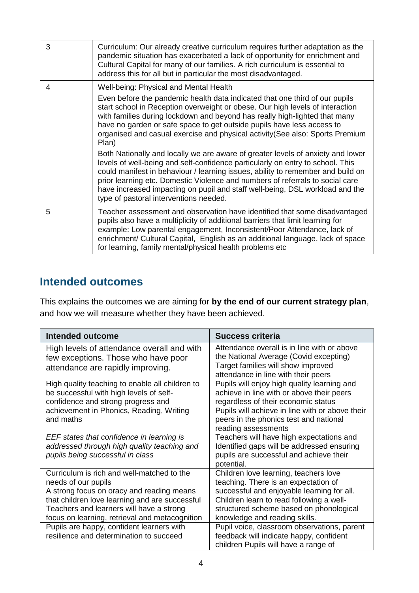| 3 | Curriculum: Our already creative curriculum requires further adaptation as the<br>pandemic situation has exacerbated a lack of opportunity for enrichment and<br>Cultural Capital for many of our families. A rich curriculum is essential to<br>address this for all but in particular the most disadvantaged.                                                                                                                                                                                                                                                                                                                                                                                                                                                                                                                                                                  |
|---|----------------------------------------------------------------------------------------------------------------------------------------------------------------------------------------------------------------------------------------------------------------------------------------------------------------------------------------------------------------------------------------------------------------------------------------------------------------------------------------------------------------------------------------------------------------------------------------------------------------------------------------------------------------------------------------------------------------------------------------------------------------------------------------------------------------------------------------------------------------------------------|
| 4 | Well-being: Physical and Mental Health<br>Even before the pandemic health data indicated that one third of our pupils<br>start school in Reception overweight or obese. Our high levels of interaction<br>with families during lockdown and beyond has really high-lighted that many<br>have no garden or safe space to get outside pupils have less access to<br>organised and casual exercise and physical activity(See also: Sports Premium<br>Plan)<br>Both Nationally and locally we are aware of greater levels of anxiety and lower<br>levels of well-being and self-confidence particularly on entry to school. This<br>could manifest in behaviour / learning issues, ability to remember and build on<br>prior learning etc. Domestic Violence and numbers of referrals to social care<br>have increased impacting on pupil and staff well-being, DSL workload and the |
|   | type of pastoral interventions needed.                                                                                                                                                                                                                                                                                                                                                                                                                                                                                                                                                                                                                                                                                                                                                                                                                                           |
| 5 | Teacher assessment and observation have identified that some disadvantaged<br>pupils also have a multiplicity of additional barriers that limit learning for<br>example: Low parental engagement, Inconsistent/Poor Attendance, lack of<br>enrichment/ Cultural Capital, English as an additional language, lack of space<br>for learning, family mental/physical health problems etc                                                                                                                                                                                                                                                                                                                                                                                                                                                                                            |

### **Intended outcomes**

This explains the outcomes we are aiming for **by the end of our current strategy plan**, and how we will measure whether they have been achieved.

| <b>Intended outcome</b>                                                                                                                                                                                                                                                                                                   | Success criteria                                                                                                                                                                                                                                                                                                                                                                                       |
|---------------------------------------------------------------------------------------------------------------------------------------------------------------------------------------------------------------------------------------------------------------------------------------------------------------------------|--------------------------------------------------------------------------------------------------------------------------------------------------------------------------------------------------------------------------------------------------------------------------------------------------------------------------------------------------------------------------------------------------------|
| High levels of attendance overall and with<br>few exceptions. Those who have poor<br>attendance are rapidly improving.                                                                                                                                                                                                    | Attendance overall is in line with or above<br>the National Average (Covid excepting)<br>Target families will show improved<br>attendance in line with their peers                                                                                                                                                                                                                                     |
| High quality teaching to enable all children to<br>be successful with high levels of self-<br>confidence and strong progress and<br>achievement in Phonics, Reading, Writing<br>and maths<br>EEF states that confidence in learning is<br>addressed through high quality teaching and<br>pupils being successful in class | Pupils will enjoy high quality learning and<br>achieve in line with or above their peers<br>regardless of their economic status<br>Pupils will achieve in line with or above their<br>peers in the phonics test and national<br>reading assessments<br>Teachers will have high expectations and<br>Identified gaps will be addressed ensuring<br>pupils are successful and achieve their<br>potential. |
| Curriculum is rich and well-matched to the<br>needs of our pupils<br>A strong focus on oracy and reading means<br>that children love learning and are successful<br>Teachers and learners will have a strong<br>focus on learning, retrieval and metacognition<br>Pupils are happy, confident learners with               | Children love learning, teachers love<br>teaching. There is an expectation of<br>successful and enjoyable learning for all.<br>Children learn to read following a well-<br>structured scheme based on phonological<br>knowledge and reading skills.<br>Pupil voice, classroom observations, parent                                                                                                     |
| resilience and determination to succeed                                                                                                                                                                                                                                                                                   | feedback will indicate happy, confident<br>children Pupils will have a range of                                                                                                                                                                                                                                                                                                                        |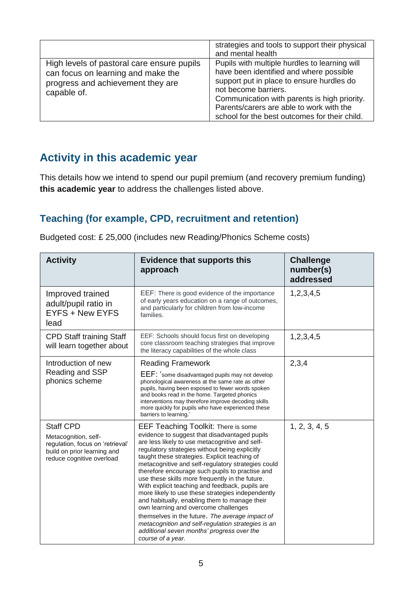|                                                                                                                                      | strategies and tools to support their physical<br>and mental health                                                                                                                                                                                                                                        |
|--------------------------------------------------------------------------------------------------------------------------------------|------------------------------------------------------------------------------------------------------------------------------------------------------------------------------------------------------------------------------------------------------------------------------------------------------------|
| High levels of pastoral care ensure pupils<br>can focus on learning and make the<br>progress and achievement they are<br>capable of. | Pupils with multiple hurdles to learning will<br>have been identified and where possible<br>support put in place to ensure hurdles do<br>not become barriers.<br>Communication with parents is high priority.<br>Parents/carers are able to work with the<br>school for the best outcomes for their child. |

### **Activity in this academic year**

 $\mathbf{r}$ 

This details how we intend to spend our pupil premium (and recovery premium funding) **this academic year** to address the challenges listed above.

#### **Teaching (for example, CPD, recruitment and retention)**

| <b>Activity</b>                                                                                                                          | <b>Evidence that supports this</b><br>approach                                                                                                                                                                                                                                                                                                                                                                                                                                                                                                                                                                                                                                                                                                                                            | <b>Challenge</b><br>number(s)<br>addressed |
|------------------------------------------------------------------------------------------------------------------------------------------|-------------------------------------------------------------------------------------------------------------------------------------------------------------------------------------------------------------------------------------------------------------------------------------------------------------------------------------------------------------------------------------------------------------------------------------------------------------------------------------------------------------------------------------------------------------------------------------------------------------------------------------------------------------------------------------------------------------------------------------------------------------------------------------------|--------------------------------------------|
| Improved trained<br>adult/pupil ratio in<br>EYFS + New EYFS<br>lead                                                                      | EEF: There is good evidence of the importance<br>of early years education on a range of outcomes,<br>and particularly for children from low-income<br>families.                                                                                                                                                                                                                                                                                                                                                                                                                                                                                                                                                                                                                           | 1,2,3,4,5                                  |
| <b>CPD Staff training Staff</b><br>will learn together about                                                                             | EEF: Schools should focus first on developing<br>core classroom teaching strategies that improve<br>the literacy capabilities of the whole class                                                                                                                                                                                                                                                                                                                                                                                                                                                                                                                                                                                                                                          | 1,2,3,4,5                                  |
| Introduction of new<br>Reading and SSP<br>phonics scheme                                                                                 | <b>Reading Framework</b><br>EEF: 'some disadvantaged pupils may not develop<br>phonological awareness at the same rate as other<br>pupils, having been exposed to fewer words spoken<br>and books read in the home. Targeted phonics<br>interventions may therefore improve decoding skills<br>more quickly for pupils who have experienced these<br>barriers to learning.'                                                                                                                                                                                                                                                                                                                                                                                                               | 2,3,4                                      |
| <b>Staff CPD</b><br>Metacognition, self-<br>regulation, focus on 'retrieval'<br>build on prior learning and<br>reduce cognitive overload | <b>EEF Teaching Toolkit: There is some</b><br>evidence to suggest that disadvantaged pupils<br>are less likely to use metacognitive and self-<br>regulatory strategies without being explicitly<br>taught these strategies. Explicit teaching of<br>metacognitive and self-regulatory strategies could<br>therefore encourage such pupils to practise and<br>use these skills more frequently in the future.<br>With explicit teaching and feedback, pupils are<br>more likely to use these strategies independently<br>and habitually, enabling them to manage their<br>own learning and overcome challenges<br>themselves in the future. The average impact of<br>metacognition and self-regulation strategies is an<br>additional seven months' progress over the<br>course of a year. | 1, 2, 3, 4, 5                              |

Budgeted cost: £ 25,000 (includes new Reading/Phonics Scheme costs)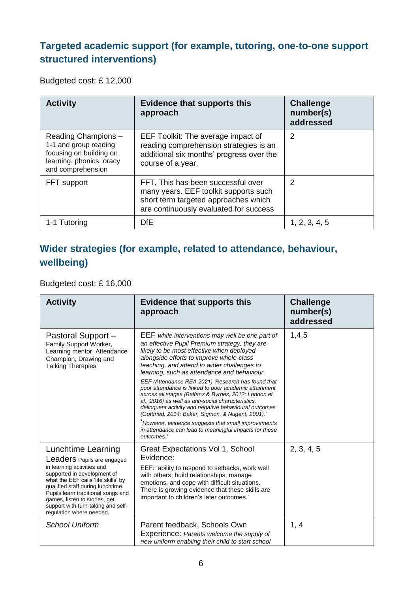### **Targeted academic support (for example, tutoring, one-to-one support structured interventions)**

Budgeted cost: £ 12,000

| <b>Activity</b>                                                                                                          | <b>Evidence that supports this</b><br>approach                                                                                                                | <b>Challenge</b><br>number(s)<br>addressed |
|--------------------------------------------------------------------------------------------------------------------------|---------------------------------------------------------------------------------------------------------------------------------------------------------------|--------------------------------------------|
| Reading Champions -<br>1-1 and group reading<br>focusing on building on<br>learning, phonics, oracy<br>and comprehension | EEF Toolkit: The average impact of<br>reading comprehension strategies is an<br>additional six months' progress over the<br>course of a year.                 | 2                                          |
| FFT support                                                                                                              | FFT, This has been successful over<br>many years. EEF toolkit supports such<br>short term targeted approaches which<br>are continuously evaluated for success | 2                                          |
| 1-1 Tutoring                                                                                                             | <b>DfE</b>                                                                                                                                                    | 1, 2, 3, 4, 5                              |

### **Wider strategies (for example, related to attendance, behaviour, wellbeing)**

Budgeted cost: £ 16,000

| <b>Activity</b>                                                                                                                                                                                                                                                                                                                    | <b>Evidence that supports this</b><br>approach                                                                                                                                                                                                                                                                                                                                                                                                                                                                                                                                                                                                                                                                                                                           | <b>Challenge</b><br>number(s)<br>addressed |
|------------------------------------------------------------------------------------------------------------------------------------------------------------------------------------------------------------------------------------------------------------------------------------------------------------------------------------|--------------------------------------------------------------------------------------------------------------------------------------------------------------------------------------------------------------------------------------------------------------------------------------------------------------------------------------------------------------------------------------------------------------------------------------------------------------------------------------------------------------------------------------------------------------------------------------------------------------------------------------------------------------------------------------------------------------------------------------------------------------------------|--------------------------------------------|
| Pastoral Support -<br>Family Support Worker,<br>Learning mentor, Attendance<br>Champion, Drawing and<br><b>Talking Therapies</b>                                                                                                                                                                                                   | <b>EEF</b> while interventions may well be one part of<br>an effective Pupil Premium strategy, they are<br>likely to be most effective when deployed<br>alongside efforts to improve whole-class<br>teaching, and attend to wider challenges to<br>learning, such as attendance and behaviour.<br>EEF (Attendance REA 2021) 'Research has found that<br>poor attendance is linked to poor academic attainment<br>across all stages (Balfanz & Byrnes, 2012; London et<br>al., 2016) as well as anti-social characteristics,<br>delinquent activity and negative behavioural outcomes<br>(Gottfried, 2014; Baker, Sigmon, & Nugent, 2001).'<br>However, evidence suggests that small improvements<br>in attendance can lead to meaningful impacts for these<br>outcomes.' | 1,4,5                                      |
| Lunchtime Learning<br>Leaders Pupils are engaged<br>in learning activities and<br>supported in development of<br>what the EEF calls 'life skills' by<br>qualified staff during lunchtime.<br>Pupils learn traditional songs and<br>games, listen to stories, get<br>support with turn-taking and self-<br>regulation where needed. | Great Expectations Vol 1, School<br>Evidence:<br>EEF: 'ability to respond to setbacks, work well<br>with others, build relationships, manage<br>emotions, and cope with difficult situations.<br>There is growing evidence that these skills are<br>important to children's later outcomes.'                                                                                                                                                                                                                                                                                                                                                                                                                                                                             | 2, 3, 4, 5                                 |
| <b>School Uniform</b>                                                                                                                                                                                                                                                                                                              | Parent feedback, Schools Own<br>Experience: Parents welcome the supply of<br>new uniform enabling their child to start school                                                                                                                                                                                                                                                                                                                                                                                                                                                                                                                                                                                                                                            | 1, 4                                       |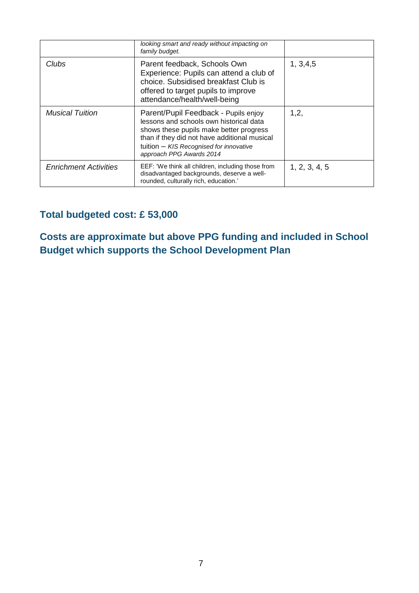|                              | looking smart and ready without impacting on<br>family budget.                                                                                                                                                                                    |               |
|------------------------------|---------------------------------------------------------------------------------------------------------------------------------------------------------------------------------------------------------------------------------------------------|---------------|
| Clubs                        | Parent feedback, Schools Own<br>Experience: Pupils can attend a club of<br>choice. Subsidised breakfast Club is<br>offered to target pupils to improve<br>attendance/health/well-being                                                            | 1, 3, 4, 5    |
| <b>Musical Tuition</b>       | Parent/Pupil Feedback - Pupils enjoy<br>lessons and schools own historical data<br>shows these pupils make better progress<br>than if they did not have additional musical<br>tuition - KIS Recognised for innovative<br>approach PPG Awards 2014 | 1,2,          |
| <b>Enrichment Activities</b> | EEF: 'We think all children, including those from<br>disadvantaged backgrounds, deserve a well-<br>rounded, culturally rich, education.'                                                                                                          | 1, 2, 3, 4, 5 |

### **Total budgeted cost: £ 53,000**

**Costs are approximate but above PPG funding and included in School Budget which supports the School Development Plan**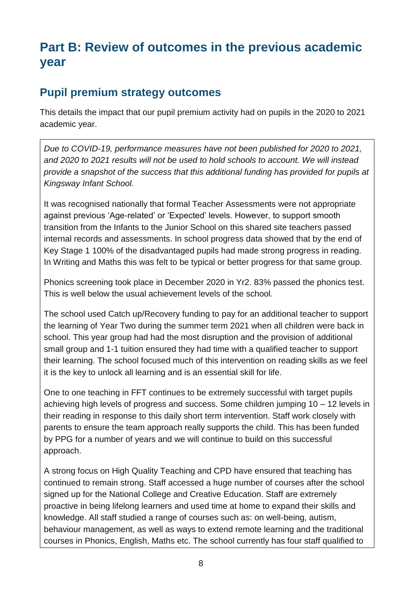# **Part B: Review of outcomes in the previous academic year**

### **Pupil premium strategy outcomes**

This details the impact that our pupil premium activity had on pupils in the 2020 to 2021 academic year.

*Due to COVID-19, performance measures have not been published for 2020 to 2021, and 2020 to 2021 results will not be used to hold schools to account. We will instead provide a snapshot of the success that this additional funding has provided for pupils at Kingsway Infant School.*

It was recognised nationally that formal Teacher Assessments were not appropriate against previous 'Age-related' or 'Expected' levels. However, to support smooth transition from the Infants to the Junior School on this shared site teachers passed internal records and assessments. In school progress data showed that by the end of Key Stage 1 100% of the disadvantaged pupils had made strong progress in reading. In Writing and Maths this was felt to be typical or better progress for that same group.

Phonics screening took place in December 2020 in Yr2. 83% passed the phonics test. This is well below the usual achievement levels of the school.

The school used Catch up/Recovery funding to pay for an additional teacher to support the learning of Year Two during the summer term 2021 when all children were back in school. This year group had had the most disruption and the provision of additional small group and 1-1 tuition ensured they had time with a qualified teacher to support their learning. The school focused much of this intervention on reading skills as we feel it is the key to unlock all learning and is an essential skill for life.

One to one teaching in FFT continues to be extremely successful with target pupils achieving high levels of progress and success. Some children jumping 10 – 12 levels in their reading in response to this daily short term intervention. Staff work closely with parents to ensure the team approach really supports the child. This has been funded by PPG for a number of years and we will continue to build on this successful approach.

A strong focus on High Quality Teaching and CPD have ensured that teaching has continued to remain strong. Staff accessed a huge number of courses after the school signed up for the National College and Creative Education. Staff are extremely proactive in being lifelong learners and used time at home to expand their skills and knowledge. All staff studied a range of courses such as: on well-being, autism, behaviour management, as well as ways to extend remote learning and the traditional courses in Phonics, English, Maths etc. The school currently has four staff qualified to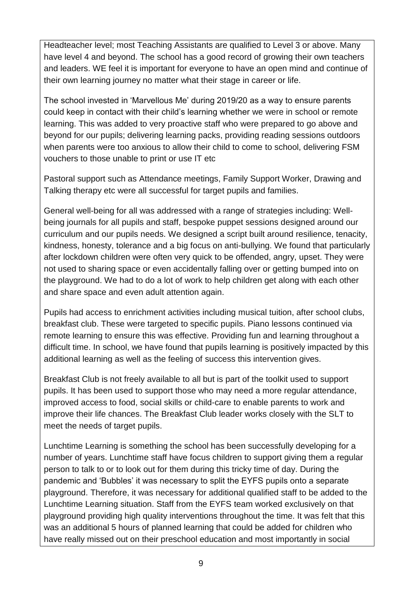Headteacher level; most Teaching Assistants are qualified to Level 3 or above. Many have level 4 and beyond. The school has a good record of growing their own teachers and leaders. WE feel it is important for everyone to have an open mind and continue of their own learning journey no matter what their stage in career or life.

The school invested in 'Marvellous Me' during 2019/20 as a way to ensure parents could keep in contact with their child's learning whether we were in school or remote learning. This was added to very proactive staff who were prepared to go above and beyond for our pupils; delivering learning packs, providing reading sessions outdoors when parents were too anxious to allow their child to come to school, delivering FSM vouchers to those unable to print or use IT etc

Pastoral support such as Attendance meetings, Family Support Worker, Drawing and Talking therapy etc were all successful for target pupils and families.

General well-being for all was addressed with a range of strategies including: Wellbeing journals for all pupils and staff, bespoke puppet sessions designed around our curriculum and our pupils needs. We designed a script built around resilience, tenacity, kindness, honesty, tolerance and a big focus on anti-bullying. We found that particularly after lockdown children were often very quick to be offended, angry, upset. They were not used to sharing space or even accidentally falling over or getting bumped into on the playground. We had to do a lot of work to help children get along with each other and share space and even adult attention again.

Pupils had access to enrichment activities including musical tuition, after school clubs, breakfast club. These were targeted to specific pupils. Piano lessons continued via remote learning to ensure this was effective. Providing fun and learning throughout a difficult time. In school, we have found that pupils learning is positively impacted by this additional learning as well as the feeling of success this intervention gives.

Breakfast Club is not freely available to all but is part of the toolkit used to support pupils. It has been used to support those who may need a more regular attendance, improved access to food, social skills or child-care to enable parents to work and improve their life chances. The Breakfast Club leader works closely with the SLT to meet the needs of target pupils.

Lunchtime Learning is something the school has been successfully developing for a number of years. Lunchtime staff have focus children to support giving them a regular person to talk to or to look out for them during this tricky time of day. During the pandemic and 'Bubbles' it was necessary to split the EYFS pupils onto a separate playground. Therefore, it was necessary for additional qualified staff to be added to the Lunchtime Learning situation. Staff from the EYFS team worked exclusively on that playground providing high quality interventions throughout the time. It was felt that this was an additional 5 hours of planned learning that could be added for children who have really missed out on their preschool education and most importantly in social